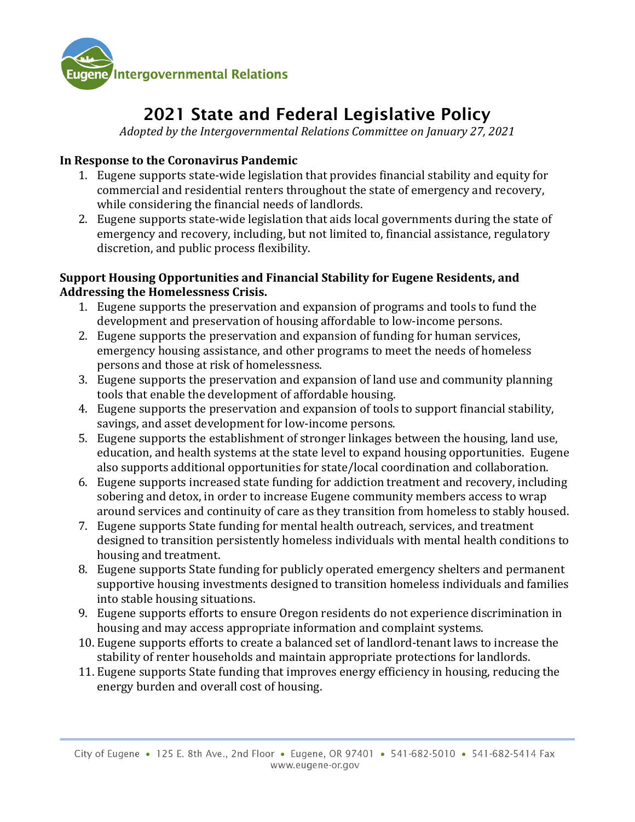

# 2021 State and Federal Legislative Policy

*Adopted by the Intergovernmental Relations Committee on January 27, 2021*

#### **In Response to the Coronavirus Pandemic**

- 1. Eugene supports state-wide legislation that provides financial stability and equity for commercial and residential renters throughout the state of emergency and recovery, while considering the financial needs of landlords.
- 2. Eugene supports state-wide legislation that aids local governments during the state of emergency and recovery, including, but not limited to, financial assistance, regulatory discretion, and public process flexibility.

#### **Support Housing Opportunities and Financial Stability for Eugene Residents, and Addressing the Homelessness Crisis.**

- 1. Eugene supports the preservation and expansion of programs and tools to fund the development and preservation of housing affordable to low-income persons.
- 2. Eugene supports the preservation and expansion of funding for human services, emergency housing assistance, and other programs to meet the needs of homeless persons and those at risk of homelessness.
- 3. Eugene supports the preservation and expansion of land use and community planning tools that enable the development of affordable housing.
- 4. Eugene supports the preservation and expansion of tools to support financial stability, savings, and asset development for low-income persons.
- 5. Eugene supports the establishment of stronger linkages between the housing, land use, education, and health systems at the state level to expand housing opportunities. Eugene also supports additional opportunities for state/local coordination and collaboration.
- 6. Eugene supports increased state funding for addiction treatment and recovery, including sobering and detox, in order to increase Eugene community members access to wrap around services and continuity of care as they transition from homeless to stably housed.
- 7. Eugene supports State funding for mental health outreach, services, and treatment designed to transition persistently homeless individuals with mental health conditions to housing and treatment.
- 8. Eugene supports State funding for publicly operated emergency shelters and permanent supportive housing investments designed to transition homeless individuals and families into stable housing situations.
- 9. Eugene supports efforts to ensure Oregon residents do not experience discrimination in housing and may access appropriate information and complaint systems.
- 10. Eugene supports efforts to create a balanced set of landlord-tenant laws to increase the stability of renter households and maintain appropriate protections for landlords.
- 11. Eugene supports State funding that improves energy efficiency in housing, reducing the energy burden and overall cost of housing.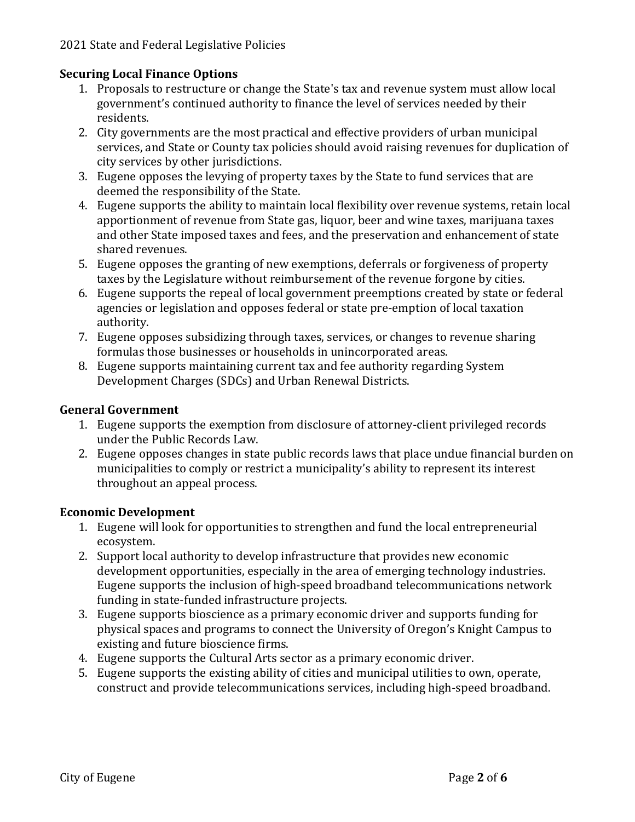## **Securing Local Finance Options**

- 1. Proposals to restructure or change the State's tax and revenue system must allow local government's continued authority to finance the level of services needed by their residents.
- 2. City governments are the most practical and effective providers of urban municipal services, and State or County tax policies should avoid raising revenues for duplication of city services by other jurisdictions.
- 3. Eugene opposes the levying of property taxes by the State to fund services that are deemed the responsibility of the State.
- 4. Eugene supports the ability to maintain local flexibility over revenue systems, retain local apportionment of revenue from State gas, liquor, beer and wine taxes, marijuana taxes and other State imposed taxes and fees, and the preservation and enhancement of state shared revenues.
- 5. Eugene opposes the granting of new exemptions, deferrals or forgiveness of property taxes by the Legislature without reimbursement of the revenue forgone by cities.
- 6. Eugene supports the repeal of local government preemptions created by state or federal agencies or legislation and opposes federal or state pre-emption of local taxation authority.
- 7. Eugene opposes subsidizing through taxes, services, or changes to revenue sharing formulas those businesses or households in unincorporated areas.
- 8. Eugene supports maintaining current tax and fee authority regarding System Development Charges (SDCs) and Urban Renewal Districts.

## **General Government**

- 1. Eugene supports the exemption from disclosure of attorney-client privileged records under the Public Records Law.
- 2. Eugene opposes changes in state public records laws that place undue financial burden on municipalities to comply or restrict a municipality's ability to represent its interest throughout an appeal process.

# **Economic Development**

- 1. Eugene will look for opportunities to strengthen and fund the local entrepreneurial ecosystem.
- 2. Support local authority to develop infrastructure that provides new economic development opportunities, especially in the area of emerging technology industries. Eugene supports the inclusion of high-speed broadband telecommunications network funding in state-funded infrastructure projects.
- 3. Eugene supports bioscience as a primary economic driver and supports funding for physical spaces and programs to connect the University of Oregon's Knight Campus to existing and future bioscience firms.
- 4. Eugene supports the Cultural Arts sector as a primary economic driver.
- 5. Eugene supports the existing ability of cities and municipal utilities to own, operate, construct and provide telecommunications services, including high-speed broadband.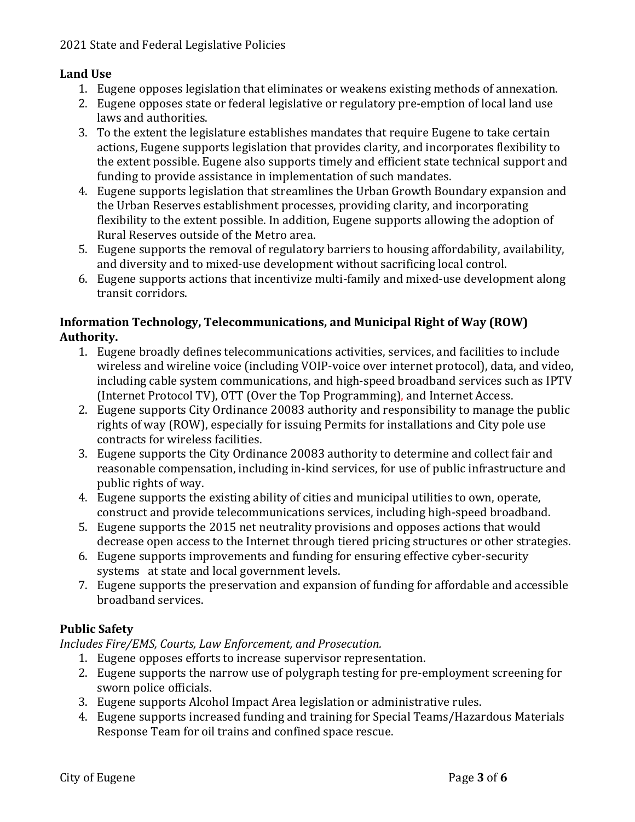## **Land Use**

- 1. Eugene opposes legislation that eliminates or weakens existing methods of annexation.
- 2. Eugene opposes state or federal legislative or regulatory pre-emption of local land use laws and authorities.
- 3. To the extent the legislature establishes mandates that require Eugene to take certain actions, Eugene supports legislation that provides clarity, and incorporates flexibility to the extent possible. Eugene also supports timely and efficient state technical support and funding to provide assistance in implementation of such mandates.
- 4. Eugene supports legislation that streamlines the Urban Growth Boundary expansion and the Urban Reserves establishment processes, providing clarity, and incorporating flexibility to the extent possible. In addition, Eugene supports allowing the adoption of Rural Reserves outside of the Metro area.
- 5. Eugene supports the removal of regulatory barriers to housing affordability, availability, and diversity and to mixed-use development without sacrificing local control.
- 6. Eugene supports actions that incentivize multi-family and mixed-use development along transit corridors.

### **Information Technology, Telecommunications, and Municipal Right of Way (ROW) Authority.**

- 1. Eugene broadly defines telecommunications activities, services, and facilities to include wireless and wireline voice (including VOIP-voice over internet protocol), data, and video, including cable system communications, and high-speed broadband services such as IPTV (Internet Protocol TV), OTT (Over the Top Programming), and Internet Access.
- 2. Eugene supports City Ordinance 20083 authority and responsibility to manage the public rights of way (ROW), especially for issuing Permits for installations and City pole use contracts for wireless facilities.
- 3. Eugene supports the City Ordinance 20083 authority to determine and collect fair and reasonable compensation, including in-kind services, for use of public infrastructure and public rights of way.
- 4. Eugene supports the existing ability of cities and municipal utilities to own, operate, construct and provide telecommunications services, including high-speed broadband.
- 5. Eugene supports the 2015 net neutrality provisions and opposes actions that would decrease open access to the Internet through tiered pricing structures or other strategies.
- 6. Eugene supports improvements and funding for ensuring effective cyber-security systems at state and local government levels.
- 7. Eugene supports the preservation and expansion of funding for affordable and accessible broadband services.

# **Public Safety**

*Includes Fire/EMS, Courts, Law Enforcement, and Prosecution.* 

- 1. Eugene opposes efforts to increase supervisor representation.
- 2. Eugene supports the narrow use of polygraph testing for pre-employment screening for sworn police officials.
- 3. Eugene supports Alcohol Impact Area legislation or administrative rules.
- 4. Eugene supports increased funding and training for Special Teams/Hazardous Materials Response Team for oil trains and confined space rescue.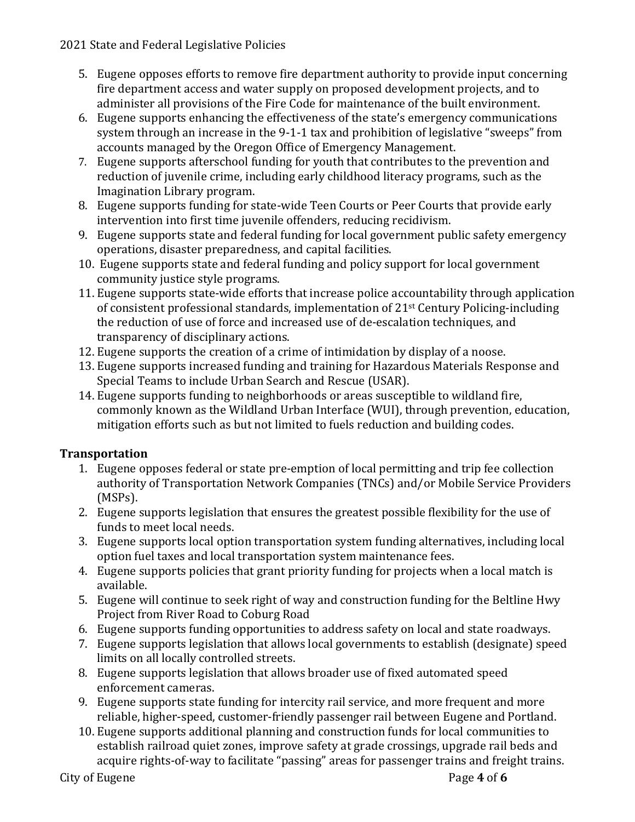#### 2021 State and Federal Legislative Policies

- 5. Eugene opposes efforts to remove fire department authority to provide input concerning fire department access and water supply on proposed development projects, and to administer all provisions of the Fire Code for maintenance of the built environment.
- 6. Eugene supports enhancing the effectiveness of the state's emergency communications system through an increase in the 9-1-1 tax and prohibition of legislative "sweeps" from accounts managed by the Oregon Office of Emergency Management.
- 7. Eugene supports afterschool funding for youth that contributes to the prevention and reduction of juvenile crime, including early childhood literacy programs, such as the Imagination Library program.
- 8. Eugene supports funding for state-wide Teen Courts or Peer Courts that provide early intervention into first time juvenile offenders, reducing recidivism.
- 9. Eugene supports state and federal funding for local government public safety emergency operations, disaster preparedness, and capital facilities.
- 10. Eugene supports state and federal funding and policy support for local government community justice style programs.
- 11. Eugene supports state-wide efforts that increase police accountability through application of consistent professional standards, implementation of 21st Century Policing-including the reduction of use of force and increased use of de-escalation techniques, and transparency of disciplinary actions.
- 12. Eugene supports the creation of a crime of intimidation by display of a noose.
- 13. Eugene supports increased funding and training for Hazardous Materials Response and Special Teams to include Urban Search and Rescue (USAR).
- 14. Eugene supports funding to neighborhoods or areas susceptible to wildland fire, commonly known as the Wildland Urban Interface (WUI), through prevention, education, mitigation efforts such as but not limited to fuels reduction and building codes.

# **Transportation**

- 1. Eugene opposes federal or state pre-emption of local permitting and trip fee collection authority of Transportation Network Companies (TNCs) and/or Mobile Service Providers (MSPs).
- 2. Eugene supports legislation that ensures the greatest possible flexibility for the use of funds to meet local needs.
- 3. Eugene supports local option transportation system funding alternatives, including local option fuel taxes and local transportation system maintenance fees.
- 4. Eugene supports policies that grant priority funding for projects when a local match is available.
- 5. Eugene will continue to seek right of way and construction funding for the Beltline Hwy Project from River Road to Coburg Road
- 6. Eugene supports funding opportunities to address safety on local and state roadways.
- 7. Eugene supports legislation that allows local governments to establish (designate) speed limits on all locally controlled streets.
- 8. Eugene supports legislation that allows broader use of fixed automated speed enforcement cameras.
- 9. Eugene supports state funding for intercity rail service, and more frequent and more reliable, higher-speed, customer-friendly passenger rail between Eugene and Portland.
- 10. Eugene supports additional planning and construction funds for local communities to establish railroad quiet zones, improve safety at grade crossings, upgrade rail beds and acquire rights-of-way to facilitate "passing" areas for passenger trains and freight trains.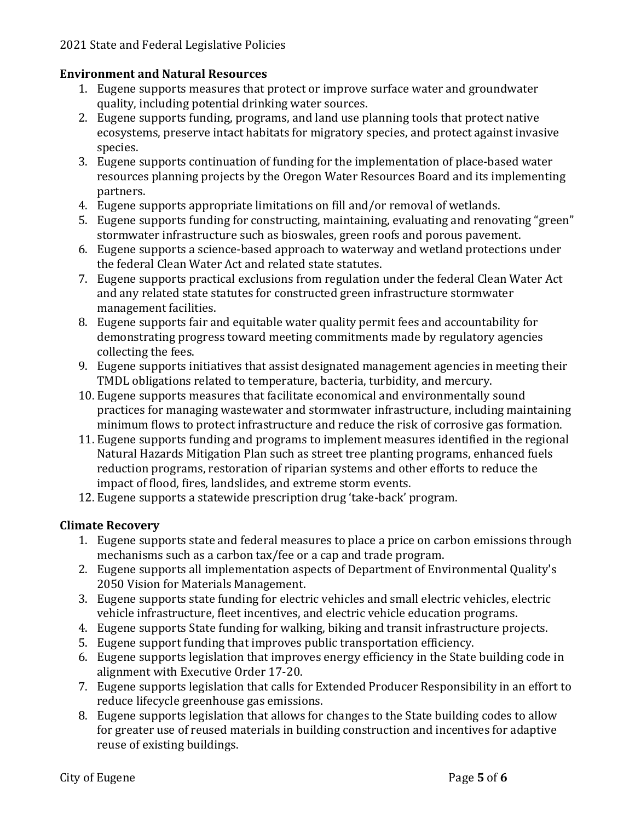## **Environment and Natural Resources**

- 1. Eugene supports measures that protect or improve surface water and groundwater quality, including potential drinking water sources.
- 2. Eugene supports funding, programs, and land use planning tools that protect native ecosystems, preserve intact habitats for migratory species, and protect against invasive species.
- 3. Eugene supports continuation of funding for the implementation of place-based water resources planning projects by the Oregon Water Resources Board and its implementing partners.
- 4. Eugene supports appropriate limitations on fill and/or removal of wetlands.
- 5. Eugene supports funding for constructing, maintaining, evaluating and renovating "green" stormwater infrastructure such as bioswales, green roofs and porous pavement.
- 6. Eugene supports a science-based approach to waterway and wetland protections under the federal Clean Water Act and related state statutes.
- 7. Eugene supports practical exclusions from regulation under the federal Clean Water Act and any related state statutes for constructed green infrastructure stormwater management facilities.
- 8. Eugene supports fair and equitable water quality permit fees and accountability for demonstrating progress toward meeting commitments made by regulatory agencies collecting the fees.
- 9. Eugene supports initiatives that assist designated management agencies in meeting their TMDL obligations related to temperature, bacteria, turbidity, and mercury.
- 10. Eugene supports measures that facilitate economical and environmentally sound practices for managing wastewater and stormwater infrastructure, including maintaining minimum flows to protect infrastructure and reduce the risk of corrosive gas formation.
- 11. Eugene supports funding and programs to implement measures identified in the regional Natural Hazards Mitigation Plan such as street tree planting programs, enhanced fuels reduction programs, restoration of riparian systems and other efforts to reduce the impact of flood, fires, landslides, and extreme storm events.
- 12. Eugene supports a statewide prescription drug 'take-back' program.

# **Climate Recovery**

- 1. Eugene supports state and federal measures to place a price on carbon emissions through mechanisms such as a carbon tax/fee or a cap and trade program.
- 2. Eugene supports all implementation aspects of Department of Environmental Quality's 2050 Vision for Materials Management.
- 3. Eugene supports state funding for electric vehicles and small electric vehicles, electric vehicle infrastructure, fleet incentives, and electric vehicle education programs.
- 4. Eugene supports State funding for walking, biking and transit infrastructure projects.
- 5. Eugene support funding that improves public transportation efficiency.
- 6. Eugene supports legislation that improves energy efficiency in the State building code in alignment with Executive Order 17-20.
- 7. Eugene supports legislation that calls for Extended Producer Responsibility in an effort to reduce lifecycle greenhouse gas emissions.
- 8. Eugene supports legislation that allows for changes to the State building codes to allow for greater use of reused materials in building construction and incentives for adaptive reuse of existing buildings.